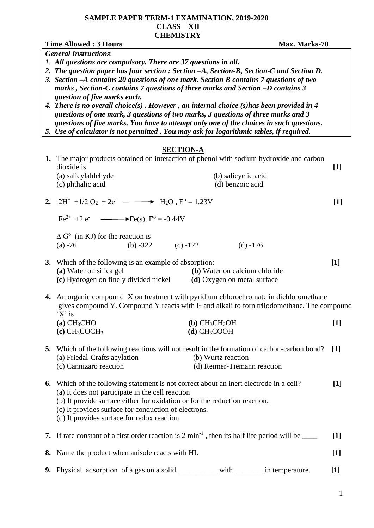## **SAMPLE PAPER TERM-1 EXAMINATION, 2019-2020 CLASS – XII CHEMISTRY**

|                              | <b>Time Allowed: 3 Hours</b><br>Max. Marks-70                                                                                                                            |       |  |  |  |  |  |  |  |
|------------------------------|--------------------------------------------------------------------------------------------------------------------------------------------------------------------------|-------|--|--|--|--|--|--|--|
| <b>General Instructions:</b> |                                                                                                                                                                          |       |  |  |  |  |  |  |  |
|                              | 1. All questions are compulsory. There are 37 questions in all.                                                                                                          |       |  |  |  |  |  |  |  |
|                              | 2. The question paper has four section : Section -A, Section-B, Section-C and Section D.                                                                                 |       |  |  |  |  |  |  |  |
|                              | 3. Section -A contains 20 questions of one mark. Section B contains 7 questions of two<br>marks, Section-C contains 7 questions of three marks and Section -D contains 3 |       |  |  |  |  |  |  |  |
|                              | question of five marks each.<br>4. There is no overall choice(s). However, an internal choice (s) has been provided in $4$                                               |       |  |  |  |  |  |  |  |
|                              | questions of one mark, 3 questions of two marks, 3 questions of three marks and 3                                                                                        |       |  |  |  |  |  |  |  |
|                              | questions of five marks. You have to attempt only one of the choices in such questions.                                                                                  |       |  |  |  |  |  |  |  |
|                              | 5. Use of calculator is not permitted . You may ask for logarithmic tables, if required.                                                                                 |       |  |  |  |  |  |  |  |
|                              |                                                                                                                                                                          |       |  |  |  |  |  |  |  |
|                              | <b>SECTION-A</b>                                                                                                                                                         |       |  |  |  |  |  |  |  |
|                              | 1. The major products obtained on interaction of phenol with sodium hydroxide and carbon<br>dioxide is                                                                   |       |  |  |  |  |  |  |  |
|                              | (a) salicylaldehyde<br>(b) salicyclic acid                                                                                                                               | $[1]$ |  |  |  |  |  |  |  |
|                              | (d) benzoic acid<br>(c) phthalic acid                                                                                                                                    |       |  |  |  |  |  |  |  |
|                              |                                                                                                                                                                          |       |  |  |  |  |  |  |  |
|                              |                                                                                                                                                                          | $[1]$ |  |  |  |  |  |  |  |
|                              | $Fe^{2+} + 2e^ \longrightarrow Fe(s), E^{\circ} = -0.44V$                                                                                                                |       |  |  |  |  |  |  |  |
|                              | $\Delta$ G <sup>o</sup> (in KJ) for the reaction is                                                                                                                      |       |  |  |  |  |  |  |  |
|                              | (b) $-322$<br>(c) $-122$<br>$(d) -176$<br>$(a) -76$                                                                                                                      |       |  |  |  |  |  |  |  |
|                              |                                                                                                                                                                          |       |  |  |  |  |  |  |  |
|                              | 3. Which of the following is an example of absorption:                                                                                                                   | $[1]$ |  |  |  |  |  |  |  |
|                              | (a) Water on silica gel<br>(b) Water on calcium chloride                                                                                                                 |       |  |  |  |  |  |  |  |
|                              | (c) Hydrogen on finely divided nickel<br>(d) Oxygen on metal surface                                                                                                     |       |  |  |  |  |  |  |  |
|                              | 4. An organic compound X on treatment with pyridium chlorochromate in dichloromethane                                                                                    |       |  |  |  |  |  |  |  |
|                              | gives compound Y. Compound Y reacts with I2 and alkali to forn triiodomethane. The compound                                                                              |       |  |  |  |  |  |  |  |
|                              | $'X'$ is                                                                                                                                                                 |       |  |  |  |  |  |  |  |
|                              | $(a)$ CH <sub>3</sub> CHO<br>$(b)$ CH <sub>3</sub> CH <sub>2</sub> OH                                                                                                    | $[1]$ |  |  |  |  |  |  |  |
|                              | $(c)$ CH <sub>3</sub> COCH <sub>3</sub><br>$(d)$ CH <sub>3</sub> COOH                                                                                                    |       |  |  |  |  |  |  |  |
| 5.                           | Which of the following reactions will not result in the formation of carbon-carbon bond?                                                                                 | $[1]$ |  |  |  |  |  |  |  |
|                              | (a) Friedal-Crafts acylation<br>(b) Wurtz reaction                                                                                                                       |       |  |  |  |  |  |  |  |
|                              | (d) Reimer-Tiemann reaction<br>(c) Cannizaro reaction                                                                                                                    |       |  |  |  |  |  |  |  |
|                              |                                                                                                                                                                          |       |  |  |  |  |  |  |  |
| 6.                           | Which of the following statement is not correct about an inert electrode in a cell?<br>$[1]$                                                                             |       |  |  |  |  |  |  |  |
|                              | (a) It does not participate in the cell reaction                                                                                                                         |       |  |  |  |  |  |  |  |
|                              | (b) It provide surface either for oxidation or for the reduction reaction.                                                                                               |       |  |  |  |  |  |  |  |
|                              | (c) It provides surface for conduction of electrons.<br>(d) It provides surface for redox reaction                                                                       |       |  |  |  |  |  |  |  |
|                              |                                                                                                                                                                          |       |  |  |  |  |  |  |  |
|                              | 7. If rate constant of a first order reaction is $2 \text{ min}^{-1}$ , then its half life period will be ____<br>$\lceil 1 \rceil$                                      |       |  |  |  |  |  |  |  |
| 8.                           | Name the product when anisole reacts with HI.<br>$[1]$                                                                                                                   |       |  |  |  |  |  |  |  |
| 9.                           |                                                                                                                                                                          | $[1]$ |  |  |  |  |  |  |  |
|                              |                                                                                                                                                                          |       |  |  |  |  |  |  |  |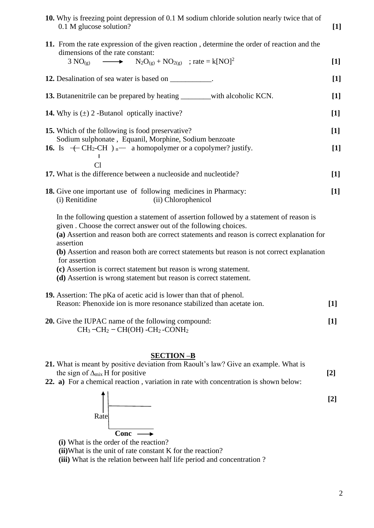| <b>10.</b> Why is freezing point depression of 0.1 M sodium chloride solution nearly twice that of |  |
|----------------------------------------------------------------------------------------------------|--|
| 0.1 M glucose solution?                                                                            |  |

| 11. From the rate expression of the given reaction, determine the order of reaction and the<br>dimensions of the rate constant:                                                                                                                                                                                                                                     |                   |
|---------------------------------------------------------------------------------------------------------------------------------------------------------------------------------------------------------------------------------------------------------------------------------------------------------------------------------------------------------------------|-------------------|
| $3 NO_{(g)} \longrightarrow N_2O_{(g)} + NO_{2(g)}$ ; rate = k[NO] <sup>2</sup>                                                                                                                                                                                                                                                                                     | $[1]$             |
| 12. Desalination of sea water is based on __________.                                                                                                                                                                                                                                                                                                               | $[1]$             |
| 13. Butanenitrile can be prepared by heating __________with alcoholic KCN.                                                                                                                                                                                                                                                                                          | $[1]$             |
| <b>14.</b> Why is $(\pm)$ 2 -Butanol optically inactive?                                                                                                                                                                                                                                                                                                            | $[1]$             |
| 15. Which of the following is food preservative?                                                                                                                                                                                                                                                                                                                    | $[1]$             |
| Sodium sulphonate, Equanil, Morphine, Sodium benzoate<br>16. Is $\leftarrow$ CH <sub>2</sub> -CH $)$ <sub>n</sub> $-$ a homopolymer or a copolymer? justify.                                                                                                                                                                                                        | $[1]$             |
| Cl<br>17. What is the difference between a nucleoside and nucleotide?                                                                                                                                                                                                                                                                                               | $[1]$             |
| 18. Give one important use of following medicines in Pharmacy:<br>(i) Renitidine<br>(ii) Chlorophenicol                                                                                                                                                                                                                                                             | $[1]$             |
| In the following question a statement of assertion followed by a statement of reason is<br>given . Choose the correct answer out of the following choices.<br>(a) Assertion and reason both are correct statements and reason is correct explanation for<br>assertion<br>(b) Assertion and reason both are correct statements but reason is not correct explanation |                   |
| for assertion<br>(c) Assertion is correct statement but reason is wrong statement.<br>(d) Assertion is wrong statement but reason is correct statement.                                                                                                                                                                                                             |                   |
| <b>19.</b> Assertion: The pKa of acetic acid is lower than that of phenol.<br>Reason: Phenoxide ion is more resonance stabilized than acetate ion.                                                                                                                                                                                                                  | $\lceil 1 \rceil$ |
| <b>20.</b> Give the IUPAC name of the following compound:<br>$CH3-CH2-CH(OH) -CH2-CONH2$                                                                                                                                                                                                                                                                            | $[1]$             |

## **SECTION –B**

|  |                                           |  |  |  |  |  |  |  | 21. What is meant by positive deviation from Raoult's law? Give an example. What is         |  |                   |
|--|-------------------------------------------|--|--|--|--|--|--|--|---------------------------------------------------------------------------------------------|--|-------------------|
|  | the sign of $\Delta_{mix}$ H for positive |  |  |  |  |  |  |  |                                                                                             |  | $\lceil 2 \rceil$ |
|  |                                           |  |  |  |  |  |  |  | <b>22. a)</b> For a chemical reaction, variation in rate with concentration is shown below: |  |                   |
|  |                                           |  |  |  |  |  |  |  |                                                                                             |  | $\lceil 2 \rceil$ |



- **(i)** What is the order of the reaction?
- **(ii)**What is the unit of rate constant K for the reaction?
- **(iii)** What is the relation between half life period and concentration ?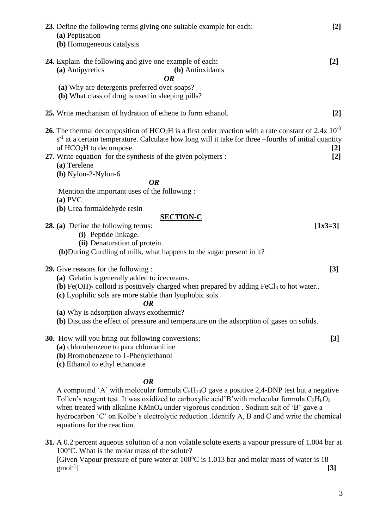| 23. Define the following terms giving one suitable example for each:<br>$[2]$<br>(a) Peptisation<br>(b) Homogeneous catalysis                                                                                                                                                                                                                                                                                                          |
|----------------------------------------------------------------------------------------------------------------------------------------------------------------------------------------------------------------------------------------------------------------------------------------------------------------------------------------------------------------------------------------------------------------------------------------|
| 24. Explain the following and give one example of each:<br>$[2]$<br>(a) Antipyretics<br>(b) Antioxidants<br><b>OR</b><br>(a) Why are detergents preferred over soaps?                                                                                                                                                                                                                                                                  |
| (b) What class of drug is used in sleeping pills?                                                                                                                                                                                                                                                                                                                                                                                      |
| 25. Write mechanism of hydration of ethene to form ethanol.<br>$[2]$                                                                                                                                                                                                                                                                                                                                                                   |
| <b>26.</b> The thermal decomposition of HCO <sub>2</sub> H is a first order reaction with a rate constant of 2.4x $10^{-3}$<br>$s-1$ at a certain temperature. Calculate how long will it take for three -fourths of initial quantity<br>of HCO <sub>2</sub> H to decompose.<br>$[2]$<br>27. Write equation for the synthesis of the given polymers :<br>$[2]$<br>(a) Terelene<br>$(b)$ Nylon-2-Nylon-6                                |
| <b>OR</b>                                                                                                                                                                                                                                                                                                                                                                                                                              |
| Mention the important uses of the following :<br>$(a)$ PVC                                                                                                                                                                                                                                                                                                                                                                             |
| (b) Urea formaldehyde resin                                                                                                                                                                                                                                                                                                                                                                                                            |
| <b>SECTION-C</b>                                                                                                                                                                                                                                                                                                                                                                                                                       |
| 28. (a) Define the following terms:<br>$[1x3=3]$                                                                                                                                                                                                                                                                                                                                                                                       |
| (i) Peptide linkage.<br>(ii) Denaturation of protein.                                                                                                                                                                                                                                                                                                                                                                                  |
| (b) During Curdling of milk, what happens to the sugar present in it?                                                                                                                                                                                                                                                                                                                                                                  |
|                                                                                                                                                                                                                                                                                                                                                                                                                                        |
| <b>29.</b> Give reasons for the following :<br>$[3]$                                                                                                                                                                                                                                                                                                                                                                                   |
| (a) Gelatin is generally added to icecreams.<br>(b) Fe(OH) $_3$ colloid is positively charged when prepared by adding FeCl $_3$ to hot water                                                                                                                                                                                                                                                                                           |
| (c) Lyophilic sols are more stable than lyophobic sols.                                                                                                                                                                                                                                                                                                                                                                                |
| <b>OR</b>                                                                                                                                                                                                                                                                                                                                                                                                                              |
| (a) Why is adsorption always exothermic?                                                                                                                                                                                                                                                                                                                                                                                               |
| (b) Discuss the effect of pressure and temperature on the adsorption of gases on solids.                                                                                                                                                                                                                                                                                                                                               |
| <b>30.</b> How will you bring out following conversions:<br>$[3]$<br>(a) chlorobenzene to para chloroaniline<br>(b) Bromobenzene to 1-Phenylethanol<br>(c) Ethanol to ethyl ethanoate                                                                                                                                                                                                                                                  |
| <b>OR</b>                                                                                                                                                                                                                                                                                                                                                                                                                              |
| A compound 'A' with molecular formula $C_5H_{10}O$ gave a positive 2,4-DNP test but a negative<br>Tollen's reagent test. It was oxidized to carboxylic acid'B' with molecular formula $C_3H_6O_2$<br>when treated with alkaline KMnO <sub>4</sub> under vigorous condition . Sodium salt of 'B' gave a<br>hydrocarbon 'C' on Kolbe's electrolytic reduction .Identify A, B and C and write the chemical<br>equations for the reaction. |

**31.** A 0.2 percent aqueous solution of a non volatile solute exerts a vapour pressure of 1.004 bar at 100<sup>o</sup>C. What is the molar mass of the solute? [Given Vapour pressure of pure water at  $100^{\circ}$ C is 1.013 bar and molar mass of water is 18 [3]  $\text{gmol}^{-1}$ ] ] **[3]**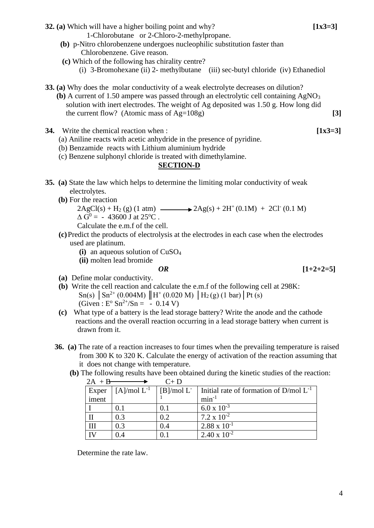**32. (a)** Which will have a higher boiling point and why? **[1x3=3]**

1-Chlorobutane or 2-Chloro-2-methylpropane.

- **(b)** p-Nitro chlorobenzene undergoes nucleophilic substitution faster than Chlorobenzene. Give reason.
- **(c)** Which of the following has chirality centre?
	- (i) 3-Bromohexane (ii) 2- methylbutane (iii) sec-butyl chloride (iv) Ethanediol
- **33. (a)** Why does the molar conductivity of a weak electrolyte decreases on dilution?
	- **(b)** A current of 1.50 ampere was passed through an electrolytic cell containing AgNO<sup>3</sup> solution with inert electrodes. The weight of Ag deposited was 1.50 g. How long did the current flow? (Atomic mass of  $Ag=108g$ ) [3]
- **34.** Write the chemical reaction when : **[1x3=3]**
	- (a) Aniline reacts with acetic anhydride in the presence of pyridine.
	- (b) Benzamide reacts with Lithium aluminium hydride
	- (c) Benzene sulphonyl chloride is treated with dimethylamine.

## **SECTION-D**

- **35. (a)** State the law which helps to determine the limiting molar conductivity of weak electrolytes.
	- **(b)** For the reaction

 $2\text{AgCl}(s) + \text{H}_2(g) (1 \text{ atm})$   $\longrightarrow$   $2\text{Ag}(s) + 2\text{H}^+(0.1\text{M}) + 2\text{Cl}^-(0.1 \text{M})$  $\Delta G^0 = -43600$  J at 25<sup>o</sup>C.

Calculate the e.m.f of the cell.

- **(c)**Predict the products of electrolysis at the electrodes in each case when the electrodes used are platinum.
	- **(i)** an aqueous solution of CuSO<sup>4</sup>
	- **(ii)** molten lead bromide

$$
\boldsymbol{OR}
$$

 $[1+2+2=5]$ 

- **(a)** Define molar conductivity.
- **(b)** Write the cell reaction and calculate the e.m.f of the following cell at 298K:  $\text{Sn(s)} \mid \text{Sn}^{2+} \left(0.004 \text{M}\right) \parallel \text{H}^{+} \left(0.020 \text{M}\right) \parallel \text{H}_{2} \left(\text{g}\right) \left(1 \text{ bar}\right) \mid \text{Pt}\left(\text{s}\right)$ (Given :  $E^{\circ}$  Sn<sup>2+</sup>/Sn =  $-$  0.14 V)
- **(c)** What type of a battery is the lead storage battery? Write the anode and the cathode reactions and the overall reaction occurring in a lead storage battery when current is drawn from it.
- **36. (a)** The rate of a reaction increases to four times when the prevailing temperature is raised from 300 K to 320 K. Calculate the energy of activation of the reaction assuming that it does not change with temperature.
	- **(b)** The following results have been obtained during the kinetic studies of the reaction:

| $2A + B$       |                     | $C+D$                         |                                             |
|----------------|---------------------|-------------------------------|---------------------------------------------|
| Exper<br>iment | $[A]$ /mol $L^{-1}$ | $\mid$ [B]/mol L <sup>-</sup> | Initial rate of formation of $D/mol L^{-1}$ |
|                |                     |                               | $min^{-1}$                                  |
|                | 0.1                 | 0.1                           | $6.0 \times 10^{-3}$                        |
|                | 0.3                 | 0.2                           | 7.2 x $10^{-2}$                             |
| III            | 0.3                 | 0.4                           | $2.88 \times 10^{-1}$                       |
| IV             | 04                  | 0.1                           | $2.40 \times 10^{-2}$                       |

Determine the rate law.